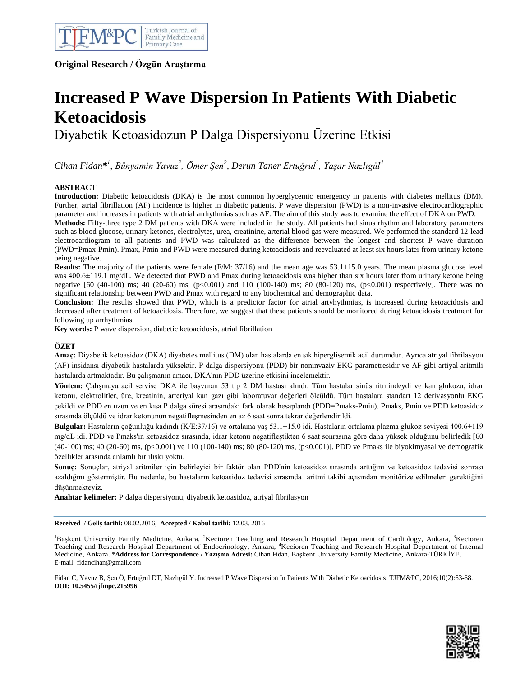

**Original Research / Özgün Araştırma**

# **Increased P Wave Dispersion In Patients With Diabetic Ketoacidosis**

Diyabetik Ketoasidozun P Dalga Dispersiyonu Üzerine Etkisi

*Cihan Fidan\* 1 , Bünyamin Yavuz<sup>2</sup> , Ömer Şen<sup>2</sup> , Derun Taner Ertuğrul<sup>3</sup> , Yaşar Nazlıgül<sup>4</sup>*

# **ABSTRACT**

**Introduction:** Diabetic ketoacidosis (DKA) is the most common hyperglycemic emergency in patients with diabetes mellitus (DM). Further, atrial fibrillation (AF) incidence is higher in diabetic patients. P wave dispersion (PWD) is a non-invasive electrocardiographic parameter and increases in patients with atrial arrhythmias such as AF. The aim of this study was to examine the effect of DKA on PWD.

**Methods:** Fifty-three type 2 DM patients with DKA were included in the study. All patients had sinus rhythm and laboratory parameters such as blood glucose, urinary ketones, electrolytes, urea, creatinine, arterial blood gas were measured. We performed the standard 12-lead electrocardiogram to all patients and PWD was calculated as the difference between the longest and shortest P wave duration (PWD=Pmax-Pmin). Pmax, Pmin and PWD were measured during ketoacidosis and reevaluated at least six hours later from urinary ketone being negative.

**Results:** The majority of the patients were female (F/M: 37/16) and the mean age was 53.1 $\pm$ 15.0 years. The mean plasma glucose level was 400.6±119.1 mg/dL. We detected that PWD and Pmax during ketoacidosis was higher than six hours later from urinary ketone being negative [60 (40-100) ms; 40 (20-60) ms, (p<0.001) and 110 (100-140) ms; 80 (80-120) ms, (p<0.001) respectively]. There was no significant relationship between PWD and Pmax with regard to any biochemical and demographic data.

**Conclusion:** The results showed that PWD, which is a predictor factor for atrial artyhythmias, is increased during ketoacidosis and decreased after treatment of ketoacidosis. Therefore, we suggest that these patients should be monitored during ketoacidosis treatment for following up arrhythmias.

**Key words:** P wave dispersion, diabetic ketoacidosis, atrial fibrillation

# **ÖZET**

**Amaç:** Diyabetik ketoasidoz (DKA) diyabetes mellitus (DM) olan hastalarda en sık hiperglisemik acil durumdur. Ayrıca atriyal fibrilasyon (AF) insidansı diyabetik hastalarda yüksektir. P dalga dispersiyonu (PDD) bir noninvaziv EKG parametresidir ve AF gibi artiyal aritmili hastalarda artmaktadır. Bu çalışmanın amacı, DKA'nın PDD üzerine etkisini incelemektir.

**Yöntem:** Çalışmaya acil servise DKA ile başvuran 53 tip 2 DM hastası alındı. Tüm hastalar sinüs ritmindeydi ve kan glukozu, idrar ketonu, elektrolitler, üre, kreatinin, arteriyal kan gazı gibi laboratuvar değerleri ölçüldü. Tüm hastalara standart 12 derivasyonlu EKG çekildi ve PDD en uzun ve en kısa P dalga süresi arasındaki fark olarak hesaplandı (PDD=Pmaks-Pmin). Pmaks, Pmin ve PDD ketoasidoz sırasında ölçüldü ve idrar ketonunun negatifleşmesinden en az 6 saat sonra tekrar değerlendirildi.

**Bulgular:** Hastaların çoğunluğu kadındı (K/E:37/16) ve ortalama yaş 53.1±15.0 idi. Hastaların ortalama plazma glukoz seviyesi 400.6±119 mg/dL idi. PDD ve Pmaks'ın ketoasidoz sırasında, idrar ketonu negatifleştikten 6 saat sonrasına göre daha yüksek olduğunu belirledik [60 (40-100) ms; 40 (20-60) ms, (p<0.001) ve 110 (100-140) ms; 80 (80-120) ms, (p<0.001)]. PDD ve Pmaks ile biyokimyasal ve demografik özellikler arasında anlamlı bir ilişki yoktu.

**Sonuç:** Sonuçlar, atriyal aritmiler için belirleyici bir faktör olan PDD'nin ketoasidoz sırasında arttığını ve ketoasidoz tedavisi sonrası azaldığını göstermiştir. Bu nedenle, bu hastaların ketoasidoz tedavisi sırasında aritmi takibi açısından monitörize edilmeleri gerektiğini düşünmekteyiz.

**Anahtar kelimeler:** P dalga dispersiyonu, diyabetik ketoasidoz, atriyal fibrilasyon

**Received / Geliş tarihi:** 08.02.2016, **Accepted / Kabul tarihi:** 12.03. 2016

<sup>1</sup>Başkent University Family Medicine, Ankara, <sup>2</sup>Kecioren Teaching and Research Hospital Department of Cardiology, Ankara, <sup>3</sup>Kecioren Teaching and Research Hospital Department of Endocrinology, Ankara, <sup>4</sup>Kecioren Teaching and Research Hospital Department of Internal Medicine, Ankara. \***Address for Correspondence / Yazışma Adresi:** Cihan Fidan, Başkent University Family Medicine, Ankara-TÜRKİYE, E-mail: fidancihan@gmail.com

Fidan C, Yavuz B, Şen Ö, Ertuğrul DT, Nazlıgül Y. Increased P Wave Dispersion In Patients With Diabetic Ketoacidosis. TJFM&PC, 2016;10(2):63-68. **DOI: 10.5455/tjfmpc.215996**

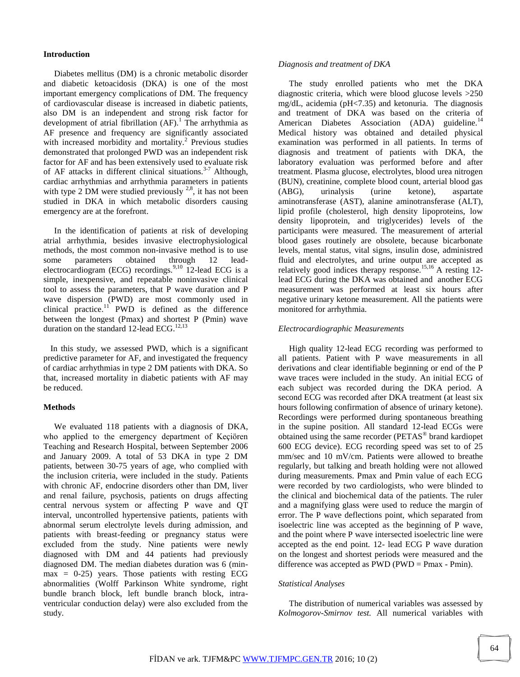#### **Introduction**

 Diabetes mellitus (DM) is a chronic metabolic disorder and diabetic ketoacidosis (DKA) is one of the most important emergency complications of DM. The frequency of cardiovascular disease is increased in diabetic patients, also DM is an independent and strong risk factor for development of atrial fibrillation  $(AF)$ .<sup>1</sup> The arrhythmia as AF presence and frequency are significantly associated with increased morbidity and mortality.<sup>2</sup> Previous studies demonstrated that prolonged PWD was an independent risk factor for AF and has been extensively used to evaluate risk of AF attacks in different clinical situations.<sup>3-7</sup> Although, cardiac arrhythmias and arrhythmia parameters in patients with type 2 DM were studied previously  $^{2,8}$ , it has not been studied in DKA in which metabolic disorders causing emergency are at the forefront.

 In the identification of patients at risk of developing atrial arrhythmia, besides invasive electrophysiological methods, the most common non-invasive method is to use some parameters obtained through 12 leadelectrocardiogram (ECG) recordings.<sup>9,10</sup> 12-lead ECG is a simple, inexpensive, and repeatable noninvasive clinical tool to assess the parameters, that P wave duration and P wave dispersion (PWD) are most commonly used in clinical practice.<sup>11</sup> PWD is defined as the difference between the longest (Pmax) and shortest P (Pmin) wave duration on the standard 12-lead ECG.<sup>12,13</sup>

 In this study, we assessed PWD, which is a significant predictive parameter for AF, and investigated the frequency of cardiac arrhythmias in type 2 DM patients with DKA. So that, increased mortality in diabetic patients with AF may be reduced.

#### **Methods**

 We evaluated 118 patients with a diagnosis of DKA, who applied to the emergency department of Keçiören Teaching and Research Hospital, between September 2006 and January 2009. A total of 53 DKA in type 2 DM patients, between 30-75 years of age, who complied with the inclusion criteria, were included in the study. Patients with chronic AF, endocrine disorders other than DM, liver and renal failure, psychosis, patients on drugs affecting central nervous system or affecting P wave and QT interval, uncontrolled hypertensive patients, patients with abnormal serum electrolyte levels during admission, and patients with breast-feeding or pregnancy status were excluded from the study. Nine patients were newly diagnosed with DM and 44 patients had previously diagnosed DM. The median diabetes duration was 6 (min $max = 0-25$ ) years. Those patients with resting ECG abnormalities (Wolff Parkinson White syndrome, right bundle branch block, left bundle branch block, intraventricular conduction delay) were also excluded from the study.

#### *Diagnosis and treatment of DKA*

 The study enrolled patients who met the DKA diagnostic criteria, which were blood glucose levels >250 mg/dL, acidemia (pH<7.35) and ketonuria. The diagnosis and treatment of DKA was based on the criteria of American Diabetes Association (ADA) guideline.<sup>14</sup> Medical history was obtained and detailed physical examination was performed in all patients. In terms of diagnosis and treatment of patients with DKA, the laboratory evaluation was performed before and after treatment. Plasma glucose, electrolytes, blood urea nitrogen (BUN), creatinine, complete blood count, arterial blood gas (ABG), urinalysis (urine ketone), aspartate aminotransferase (AST), alanine aminotransferase (ALT), lipid profile (cholesterol, high density lipoproteins, low density lipoprotein, and triglycerides) levels of the participants were measured. The measurement of arterial blood gases routinely are obsolete, because bicarbonate levels, mental status, vital signs, insulin dose, administred fluid and electrolytes, and urine output are accepted as relatively good indices therapy response.<sup>15,16</sup> A resting 12lead ECG during the DKA was obtained and another ECG measurement was performed at least six hours after negative urinary ketone measurement. All the patients were monitored for arrhythmia.

#### *Electrocardiographic Measurements*

 High quality 12-lead ECG recording was performed to all patients. Patient with P wave measurements in all derivations and clear identifiable beginning or end of the P wave traces were included in the study. An initial ECG of each subject was recorded during the DKA period. A second ECG was recorded after DKA treatment (at least six hours following confirmation of absence of urinary ketone). Recordings were performed during spontaneous breathing in the supine position. All standard 12-lead ECGs were obtained using the same recorder (PETAS<sup>®</sup> brand kardiopet 600 ECG device). ECG recording speed was set to of 25 mm/sec and 10 mV/cm. Patients were allowed to breathe regularly, but talking and breath holding were not allowed during measurements. Pmax and Pmin value of each ECG were recorded by two cardiologists, who were blinded to the clinical and biochemical data of the patients. The ruler and a magnifying glass were used to reduce the margin of error. The P wave deflections point, which separated from isoelectric line was accepted as the beginning of P wave, and the point where P wave intersected isoelectric line were accepted as the end point. 12- lead ECG P wave duration on the longest and shortest periods were measured and the difference was accepted as PWD (PWD = Pmax - Pmin).

#### *Statistical Analyses*

 The distribution of numerical variables was assessed by *Kolmogorov-Smirnov test.* All numerical variables with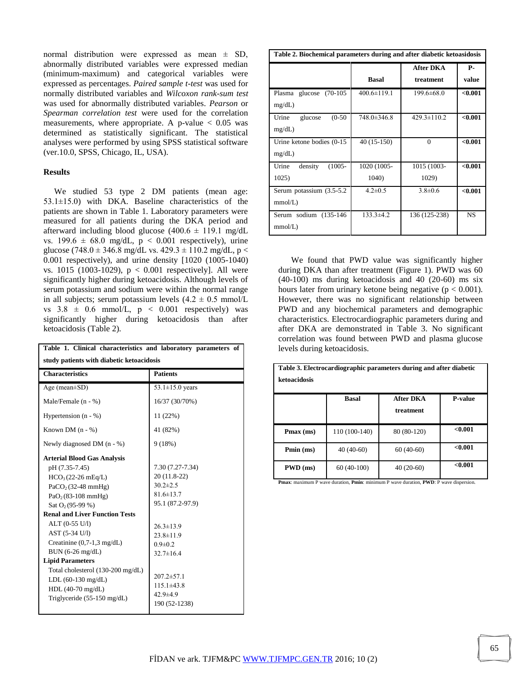normal distribution were expressed as mean  $\pm$  SD, abnormally distributed variables were expressed median (minimum-maximum) and categorical variables were expressed as percentages. *Paired sample t-test* was used for normally distributed variables and *Wilcoxon rank-sum test* was used for abnormally distributed variables. *Pearson* or *Spearman correlation test* were used for the correlation measurements, where appropriate. A p-value  $< 0.05$  was determined as statistically significant. The statistical analyses were performed by using SPSS statistical software (ver.10.0, SPSS, Chicago, IL, USA).

## **Results**

 We studied 53 type 2 DM patients (mean age: 53.1±15.0) with DKA. Baseline characteristics of the patients are shown in Table 1. Laboratory parameters were measured for all patients during the DKA period and afterward including blood glucose (400.6  $\pm$  119.1 mg/dL vs. 199.6  $\pm$  68.0 mg/dL,  $p < 0.001$  respectively), urine glucose (748.0 ± 346.8 mg/dL vs. 429.3 ± 110.2 mg/dL, p < 0.001 respectively), and urine density [1020 (1005-1040) vs. 1015 (1003-1029),  $p < 0.001$  respectively]. All were significantly higher during ketoacidosis. Although levels of serum potassium and sodium were within the normal range in all subjects; serum potassium levels  $(4.2 \pm 0.5 \text{ mmol/L})$ vs  $3.8 \pm 0.6$  mmol/L,  $p < 0.001$  respectively) was significantly higher during ketoacidosis than after ketoacidosis (Table 2).

| Table 1. Clinical characteristics and laboratory parameters of<br>study patients with diabetic ketoacidosis                                                |                                                                       |  |  |
|------------------------------------------------------------------------------------------------------------------------------------------------------------|-----------------------------------------------------------------------|--|--|
| <b>Characteristics</b>                                                                                                                                     | <b>Patients</b>                                                       |  |  |
| Age (mean $\pm$ SD)                                                                                                                                        | 53.1 $\pm$ 15.0 years                                                 |  |  |
| Male/Female $(n - %)$                                                                                                                                      | 16/37 (30/70%)                                                        |  |  |
| Hypertension $(n - %)$                                                                                                                                     | 11(22%)                                                               |  |  |
| Known DM $(n - %)$                                                                                                                                         | 41 (82%)                                                              |  |  |
| Newly diagnosed DM $(n - %)$                                                                                                                               | 9(18%)                                                                |  |  |
| <b>Arterial Blood Gas Analysis</b><br>pH (7.35-7.45)<br>$HCO3(22-26 mEq/L)$<br>$PaCO2(32-48 mmHg)$<br>$PaO2 (83-108 mmHg)$                                 | 7.30 (7.27-7.34)<br>20 (11.8-22)<br>$30.2 \pm 2.5$<br>$81.6 \pm 13.7$ |  |  |
| Sat $O_2(95-99\%)$<br><b>Renal and Liver Function Tests</b>                                                                                                | 95.1 (87.2-97.9)                                                      |  |  |
| ALT (0-55 U/l)<br>AST (5-34 U/l)<br>Creatinine $(0,7-1,3 \text{ mg/dL})$<br>$BUN (6-26 mg/dL)$                                                             | $26.3 \pm 13.9$<br>$23.8 \pm 11.9$<br>$0.9 + 0.2$<br>$32.7 \pm 16.4$  |  |  |
| <b>Lipid Parameters</b><br>Total cholesterol (130-200 mg/dL)<br>LDL $(60-130 \text{ mg/dL})$<br>HDL $(40-70 \text{ mg/dL})$<br>Triglyceride (55-150 mg/dL) | $207.2 \pm 57.1$<br>$115.1\pm43.8$<br>$42.9 \pm 4.9$<br>190 (52-1238) |  |  |

| Table 2. Biochemical parameters during and after diabetic ketoasidosis |                      |                        |             |  |
|------------------------------------------------------------------------|----------------------|------------------------|-------------|--|
|                                                                        | <b>Basal</b>         | After DKA<br>treatment | Р-<br>value |  |
| glucose<br>$(70-105)$<br>Plasma<br>mg/dL                               | $400.6 \pm 119.1$    | $199.6 \pm 68.0$       | < 0.001     |  |
| $(0-50)$<br>Urine<br>glucose<br>mg/dL                                  | 748.0±346.8          | $429.3 \pm 110.2$      | < 0.001     |  |
| Urine ketone bodies (0-15)<br>mg/dL                                    | 40 (15-150)          | $\Omega$               | < 0.001     |  |
| density<br>$(1005 -$<br>Urine<br>1025)                                 | 1020 (1005-<br>1040) | 1015 (1003-<br>1029)   | < 0.001     |  |
| Serum potassium (3.5-5.2)<br>mmol/L)                                   | $4.2 \pm 0.5$        | $3.8 \pm 0.6$          | < 0.001     |  |
| Serum sodium (135-146)<br>mmol/L)                                      | $133.3 \pm 4.2$      | 136 (125-238)          | <b>NS</b>   |  |

 We found that PWD value was significantly higher during DKA than after treatment (Figure 1). PWD was 60 (40-100) ms during ketoacidosis and 40 (20-60) ms six hours later from urinary ketone being negative ( $p < 0.001$ ). However, there was no significant relationship between PWD and any biochemical parameters and demographic characteristics. Electrocardiographic parameters during and after DKA are demonstrated in Table 3. No significant correlation was found between PWD and plasma glucose levels during ketoacidosis.

| Table 3. Electrocardiographic parameters during and after diabetic<br>ketoacidosis |               |                        |                |  |  |
|------------------------------------------------------------------------------------|---------------|------------------------|----------------|--|--|
|                                                                                    | <b>Basal</b>  | After DKA<br>treatment | <b>P-value</b> |  |  |
| $Pmax$ (ms)                                                                        | 110 (100-140) | 80 (80-120)            | < 0.001        |  |  |
| Pmin (ms)                                                                          | $40(40-60)$   | $60(40-60)$            | < 0.001        |  |  |
| $PWD$ (ms)                                                                         | $60(40-100)$  | 40 (20-60)             | < 0.001        |  |  |

**Pmax**: maximum P wave duration, **Pmin**: minimum P wave duration, **PWD**: P wave dispersion.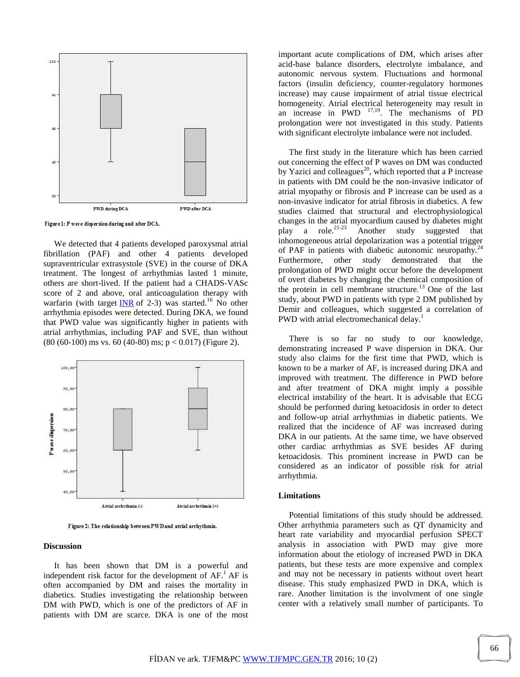

Figure 1: P wave dispersion during and after DCA.

 We detected that 4 patients developed paroxysmal atrial fibrillation (PAF) and other 4 patients developed supraventricular extrasystole (SVE) in the course of DKA treatment. The longest of arrhythmias lasted 1 minute, others are short-lived. If the patient had a CHADS-VASc score of 2 and above, oral anticoagulation therapy with warfarin (with target  $\overline{\text{INR}}$  $\overline{\text{INR}}$  $\overline{\text{INR}}$  of 2-3) was started.<sup>16</sup> No other arrhythmia episodes were detected. During DKA, we found that PWD value was significantly higher in patients with atrial arrhythmias, including PAF and SVE, than without  $(80 (60-100)$  ms vs. 60  $(40-80)$  ms;  $p < 0.017$ ) (Figure 2).



Figure 2: The relationship between PWD and atrial arrhythmia.

#### **Discussion**

 It has been shown that DM is a powerful and independent risk factor for the development of  $AF<sup>1</sup>AF$  is often accompanied by DM and raises the mortality in diabetics. Studies investigating the relationship between DM with PWD, which is one of the predictors of AF in patients with DM are scarce. DKA is one of the most

important acute complications of DM, which arises after acid-base balance disorders, electrolyte imbalance, and autonomic nervous system. Fluctuations and hormonal factors (insulin deficiency, counter-regulatory hormones increase) may cause impairment of atrial tissue electrical homogeneity. Atrial electrical heterogeneity may result in an increase in  $PWD$   $^{17,19}$ . The mechanisms of PD prolongation were not investigated in this study. Patients with significant electrolyte imbalance were not included.

 The first study in the literature which has been carried out concerning the effect of P waves on DM was conducted by Yazici and colleagues<sup>20</sup>, which reported that a P increase in patients with DM could be the non-invasive indicator of atrial myopathy or fibrosis and P increase can be used as a non-invasive indicator for atrial fibrosis in diabetics. A few studies claimed that structural and electrophysiological changes in the atrial myocardium caused by diabetes might<br>play a role.<sup>21-23</sup> Another study suggested that play a role.<sup>21-23</sup> Another study suggested that inhomogeneous atrial depolarization was a potential trigger of PAF in patients with diabetic autonomic neuropathy.<sup>24</sup> Furthermore, other study demonstrated that the prolongation of PWD might occur before the development of overt diabetes by changing the chemical composition of the protein in cell membrane structure.<sup>13</sup> One of the last study, about PWD in patients with type 2 DM published by Demir and colleagues, which suggested a correlation of PWD with atrial electromechanical delay.<sup>1</sup>

 There is so far no study to our knowledge, demonstrating increased P wave dispersion in DKA. Our study also claims for the first time that PWD, which is known to be a marker of AF, is increased during DKA and improved with treatment. The difference in PWD before and after treatment of DKA might imply a possible electrical instability of the heart. It is advisable that ECG should be performed during ketoacidosis in order to detect and follow-up atrial arrhythmias in diabetic patients. We realized that the incidence of AF was increased during DKA in our patients. At the same time, we have observed other cardiac arrhythmias as SVE besides AF during ketoacidosis. This prominent increase in PWD can be considered as an indicator of possible risk for atrial arrhythmia.

#### **Limitations**

 Potential limitations of this study should be addressed. Other arrhythmia parameters such as QT dynamicity and heart rate variability and myocardial perfusion SPECT analysis in association with PWD may give more information about the etiology of increased PWD in DKA patients, but these tests are more expensive and complex and may not be necessary in patients without overt heart disease. This study emphasized PWD in DKA, which is rare. Another limitation is the involvment of one single center with a relatively small number of participants. To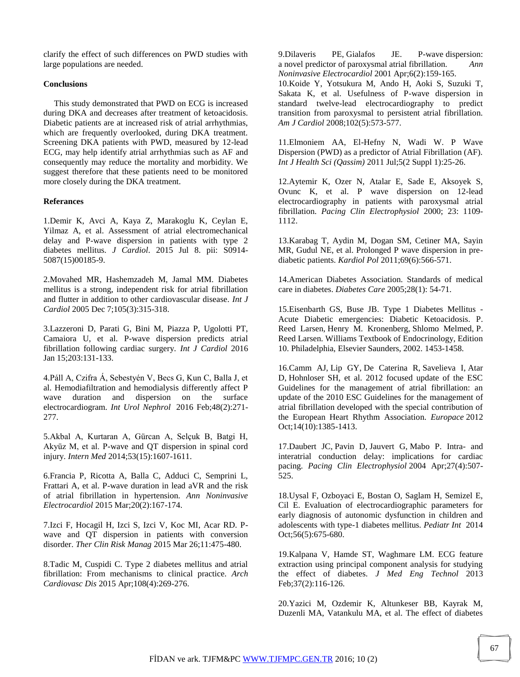clarify the effect of such differences on PWD studies with large populations are needed.

## **Conclusions**

 This study demonstrated that PWD on ECG is increased during DKA and decreases after treatment of ketoacidosis. Diabetic patients are at increased risk of atrial arrhythmias, which are frequently overlooked, during DKA treatment. Screening DKA patients with PWD, measured by 12-lead ECG, may help identify atrial arrhythmias such as AF and consequently may reduce the mortality and morbidity. We suggest therefore that these patients need to be monitored more closely during the DKA treatment.

### **Referances**

1.Demir K, Avci A, Kaya Z, Marakoglu K, Ceylan E, Yilmaz A, et al. Assessment of atrial electromechanical delay and P-wave dispersion in patients with type 2 diabetes mellitus. *J Cardiol*. 2015 Jul 8. pii: S0914- 5087(15)00185-9.

2.Movahed MR, Hashemzadeh M, Jamal MM. Diabetes mellitus is a strong, independent risk for atrial fibrillation and flutter in addition to other cardiovascular disease. *Int J Cardiol* 2005 Dec 7;105(3):315-318.

3.Lazzeroni D, Parati G, Bini M, Piazza P, Ugolotti PT, Camaiora U, et al. P-wave dispersion predicts atrial fibrillation following cardiac surgery. *Int J Cardiol* 2016 Jan 15;203:131-133.

4.Páll A, Czifra Á, Sebestyén V, Becs G, Kun C, Balla J, et al. Hemodiafiltration and hemodialysis differently affect P wave duration and dispersion on the surface electrocardiogram. *Int Urol Nephrol* 2016 Feb;48(2):271- 277.

5.Akbal A, Kurtaran A, Gürcan A, Selçuk B, Batgi H, Akyüz M, et al. P-wave and QT dispersion in spinal cord injury. *Intern Med* 2014;53(15):1607-1611.

6.Francia P, Ricotta A, Balla C, Adduci C, Semprini L, Frattari A, et al. P-wave duration in lead aVR and the risk of atrial fibrillation in hypertension. *Ann Noninvasive Electrocardiol* 2015 Mar;20(2):167-174.

7.Izci F, Hocagil H, Izci S, Izci V, Koc MI, Acar RD. Pwave and QT dispersion in patients with conversion disorder. *Ther Clin Risk Manag* 2015 Mar 26;11:475-480.

8.Tadic M, Cuspidi C. Type 2 diabetes mellitus and atrial fibrillation: From mechanisms to clinical practice. *Arch Cardiovasc Dis* 2015 Apr;108(4):269-276.

9[.Dilaveris PE,](http://www.ncbi.nlm.nih.gov/pubmed/?term=Dilaveris%20PE%5BAuthor%5D&cauthor=true&cauthor_uid=11333174) [Gialafos JE.](http://www.ncbi.nlm.nih.gov/pubmed/?term=Gialafos%20JE%5BAuthor%5D&cauthor=true&cauthor_uid=11333174) P-wave dispersion: a novel predictor of paroxysmal atrial fibrillation. *[Ann](http://www.ncbi.nlm.nih.gov/pubmed/?term=KWave+Dispersion%3A+A+Novel+Predictor+of+Paroxysmal+Atrial+Fibrillation)  [Noninvasive Electrocardiol](http://www.ncbi.nlm.nih.gov/pubmed/?term=KWave+Dispersion%3A+A+Novel+Predictor+of+Paroxysmal+Atrial+Fibrillation)* 2001 Apr;6(2):159-165.

10.Koide Y, Yotsukura M, Ando H, Aoki S, Suzuki T, Sakata K, et al. Usefulness of P-wave dispersion in standard twelve-lead electrocardiography to predict transition from paroxysmal to persistent atrial fibrillation. *Am J Cardiol* 2008;102(5):573-577.

11.Elmoniem AA, El-Hefny N, Wadi W. P Wave Dispersion (PWD) as a predictor of Atrial Fibrillation (AF). *Int J Health Sci (Qassim)* 2011 Jul;5(2 Suppl 1):25-26.

12.Aytemir K, Ozer N, Atalar E, Sade E, Aksoyek S, Ovunc K, et al. P wave dispersion on 12-lead electrocardiography in patients with paroxysmal atrial fibrillation. *Pacing Clin Electrophysiol* 2000; 23: 1109- 1112.

13.Karabag T, Aydin M, Dogan SM, Cetiner MA, Sayin MR, Gudul NE, et al. Prolonged P wave dispersion in prediabetic patients. *Kardiol Pol* 2011;69(6):566-571.

14.American Diabetes Association. Standards of medical care in diabetes. *Diabetes Care* 2005;28(1): 54-71.

15.Eisenbarth GS, Buse JB. Type 1 Diabetes Mellitus - Acute Diabetic emergencies: Diabetic Ketoacidosis. P. Reed Larsen, Henry M. Kronenberg, Shlomo Melmed, P. Reed Larsen. Williams Textbook of Endocrinology, Edition 10. Philadelphia, Elsevier Saunders, 2002. 1453-1458.

16.Camm AJ, Lip GY, [De Caterina R,](http://www.ncbi.nlm.nih.gov/pubmed/?term=De%20Caterina%20R%5BAuthor%5D&cauthor=true&cauthor_uid=22923145) [Savelieva I,](http://www.ncbi.nlm.nih.gov/pubmed/?term=Savelieva%20I%5BAuthor%5D&cauthor=true&cauthor_uid=22923145) [Atar](http://www.ncbi.nlm.nih.gov/pubmed/?term=Atar%20D%5BAuthor%5D&cauthor=true&cauthor_uid=22923145)  [D,](http://www.ncbi.nlm.nih.gov/pubmed/?term=Atar%20D%5BAuthor%5D&cauthor=true&cauthor_uid=22923145) [Hohnloser SH,](http://www.ncbi.nlm.nih.gov/pubmed/?term=Hohnloser%20SH%5BAuthor%5D&cauthor=true&cauthor_uid=22923145) et al. 2012 focused update of the ESC Guidelines for the management of atrial fibrillation: an update of the 2010 ESC Guidelines for the management of atrial fibrillation developed with the special contribution of the European Heart Rhythm Association. *Europace* 2012 Oct;14(10):1385-1413.

17[.Daubert JC,](http://www.ncbi.nlm.nih.gov/pubmed/?term=Daubert%20JC%5BAuthor%5D&cauthor=true&cauthor_uid=15078407) [Pavin D,](http://www.ncbi.nlm.nih.gov/pubmed/?term=Pavin%20D%5BAuthor%5D&cauthor=true&cauthor_uid=15078407) [Jauvert G,](http://www.ncbi.nlm.nih.gov/pubmed/?term=Jauvert%20G%5BAuthor%5D&cauthor=true&cauthor_uid=15078407) [Mabo P.](http://www.ncbi.nlm.nih.gov/pubmed/?term=Mabo%20P%5BAuthor%5D&cauthor=true&cauthor_uid=15078407) Intra- and interatrial conduction delay: implications for cardiac pacing. *[Pacing Clin Electrophysiol](http://www.ncbi.nlm.nih.gov/pubmed/15078407)* 2004 Apr;27(4):507- 525.

18.Uysal F, Ozboyaci E, Bostan O, Saglam H, Semizel E, Cil E. Evaluation of electrocardiographic parameters for early diagnosis of autonomic dysfunction in children and adolescents with type-1 diabetes mellitus. *Pediatr Int* 2014 Oct;56(5):675-680.

19.Kalpana V, Hamde ST, Waghmare LM. ECG feature extraction using principal component analysis for studying the effect of diabetes. *J Med Eng Technol* 2013 Feb;37(2):116-126.

20.Yazici M, Ozdemir K, Altunkeser BB, Kayrak M, Duzenli MA, Vatankulu MA, et al. The effect of diabetes